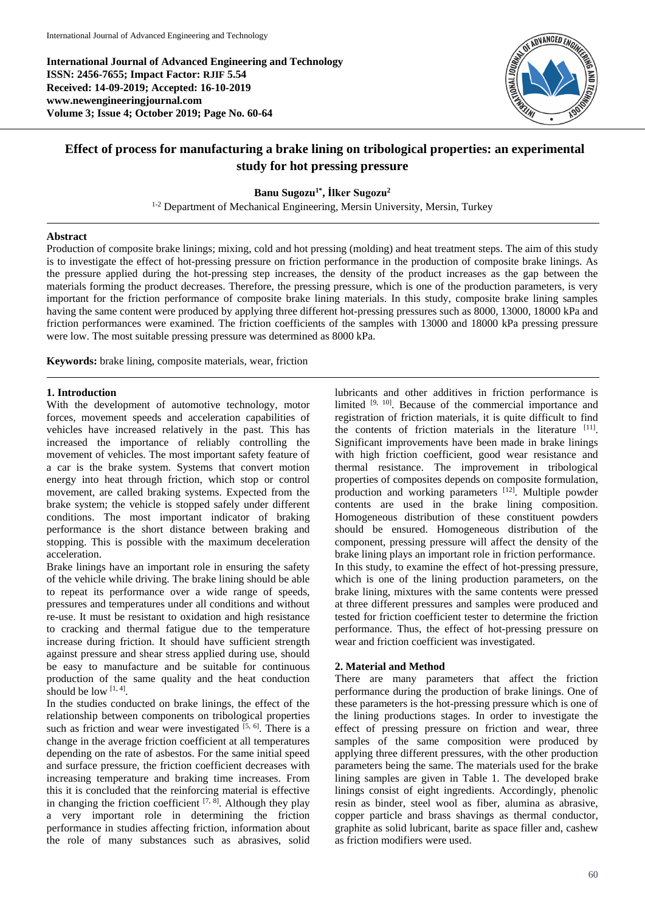**International Journal of Advanced Engineering and Technology ISSN: 2456-7655; Impact Factor: RJIF 5.54 Received: 14-09-2019; Accepted: 16-10-2019 www.newengineeringjournal.com Volume 3; Issue 4; October 2019; Page No. 60-64**



# **Effect of process for manufacturing a brake lining on tribological properties: an experimental study for hot pressing pressure**

# **Banu Sugozu1\* , İlker Sugozu<sup>2</sup>**

<sup>1-2</sup> Department of Mechanical Engineering, Mersin University, Mersin, Turkey

# **Abstract**

Production of composite brake linings; mixing, cold and hot pressing (molding) and heat treatment steps. The aim of this study is to investigate the effect of hot-pressing pressure on friction performance in the production of composite brake linings. As the pressure applied during the hot-pressing step increases, the density of the product increases as the gap between the materials forming the product decreases. Therefore, the pressing pressure, which is one of the production parameters, is very important for the friction performance of composite brake lining materials. In this study, composite brake lining samples having the same content were produced by applying three different hot-pressing pressures such as 8000, 13000, 18000 kPa and friction performances were examined. The friction coefficients of the samples with 13000 and 18000 kPa pressing pressure were low. The most suitable pressing pressure was determined as 8000 kPa.

**Keywords:** brake lining, composite materials, wear, friction

### **1. Introduction**

With the development of automotive technology, motor forces, movement speeds and acceleration capabilities of vehicles have increased relatively in the past. This has increased the importance of reliably controlling the movement of vehicles. The most important safety feature of a car is the brake system. Systems that convert motion energy into heat through friction, which stop or control movement, are called braking systems. Expected from the brake system; the vehicle is stopped safely under different conditions. The most important indicator of braking performance is the short distance between braking and stopping. This is possible with the maximum deceleration acceleration.

Brake linings have an important role in ensuring the safety of the vehicle while driving. The brake lining should be able to repeat its performance over a wide range of speeds, pressures and temperatures under all conditions and without re-use. It must be resistant to oxidation and high resistance to cracking and thermal fatigue due to the temperature increase during friction. It should have sufficient strength against pressure and shear stress applied during use, should be easy to manufacture and be suitable for continuous production of the same quality and the heat conduction should be low  $[1, 4]$ .

In the studies conducted on brake linings, the effect of the relationship between components on tribological properties such as friction and wear were investigated  $[5, 6]$ . There is a change in the average friction coefficient at all temperatures depending on the rate of asbestos. For the same initial speed and surface pressure, the friction coefficient decreases with increasing temperature and braking time increases. From this it is concluded that the reinforcing material is effective in changing the friction coefficient  $[7, 8]$ . Although they play a very important role in determining the friction performance in studies affecting friction, information about the role of many substances such as abrasives, solid lubricants and other additives in friction performance is limited  $[9, 10]$ . Because of the commercial importance and registration of friction materials, it is quite difficult to find the contents of friction materials in the literature [11]. Significant improvements have been made in brake linings with high friction coefficient, good wear resistance and thermal resistance. The improvement in tribological properties of composites depends on composite formulation, production and working parameters [12]. Multiple powder contents are used in the brake lining composition. Homogeneous distribution of these constituent powders should be ensured. Homogeneous distribution of the component, pressing pressure will affect the density of the brake lining plays an important role in friction performance. In this study, to examine the effect of hot-pressing pressure, which is one of the lining production parameters, on the brake lining, mixtures with the same contents were pressed at three different pressures and samples were produced and tested for friction coefficient tester to determine the friction performance. Thus, the effect of hot-pressing pressure on wear and friction coefficient was investigated.

# **2. Material and Method**

There are many parameters that affect the friction performance during the production of brake linings. One of these parameters is the hot-pressing pressure which is one of the lining productions stages. In order to investigate the effect of pressing pressure on friction and wear, three samples of the same composition were produced by applying three different pressures, with the other production parameters being the same. The materials used for the brake lining samples are given in Table 1. The developed brake linings consist of eight ingredients. Accordingly, phenolic resin as binder, steel wool as fiber, alumina as abrasive, copper particle and brass shavings as thermal conductor, graphite as solid lubricant, barite as space filler and, cashew as friction modifiers were used.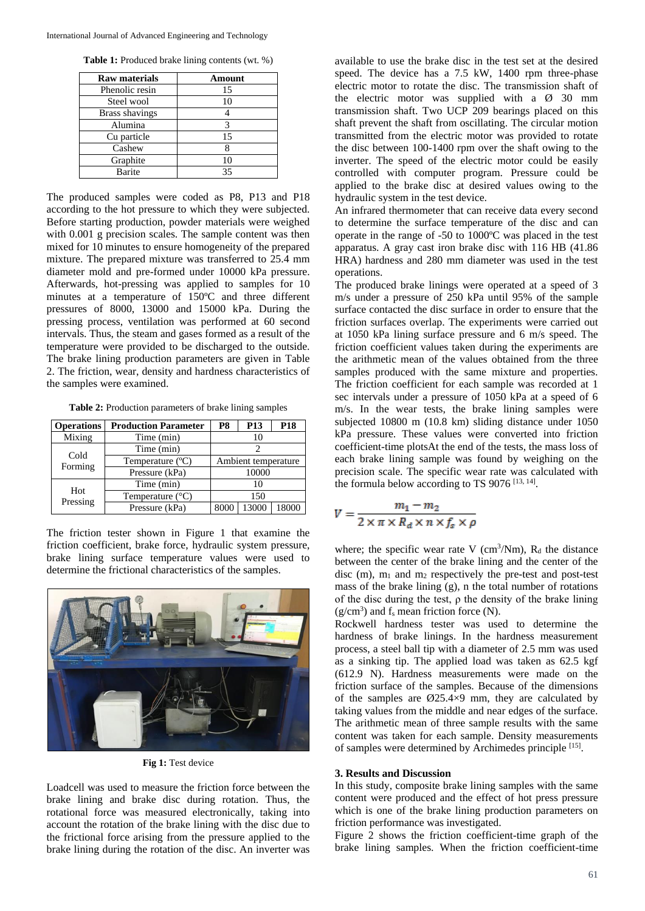**Table 1:** Produced brake lining contents (wt. %)

| Raw materials         | Amount |
|-----------------------|--------|
| Phenolic resin        | 15     |
| Steel wool            | 10     |
| <b>Brass shavings</b> |        |
| Alumina               | 3      |
| Cu particle           | 15     |
| Cashew                |        |
| Graphite              | 10     |
| Barite                | 35     |

The produced samples were coded as P8, P13 and P18 according to the hot pressure to which they were subjected. Before starting production, powder materials were weighed with 0.001 g precision scales. The sample content was then mixed for 10 minutes to ensure homogeneity of the prepared mixture. The prepared mixture was transferred to 25.4 mm diameter mold and pre-formed under 10000 kPa pressure. Afterwards, hot-pressing was applied to samples for 10 minutes at a temperature of 150ºC and three different pressures of 8000, 13000 and 15000 kPa. During the pressing process, ventilation was performed at 60 second intervals. Thus, the steam and gases formed as a result of the temperature were provided to be discharged to the outside. The brake lining production parameters are given in Table 2. The friction, wear, density and hardness characteristics of the samples were examined.

**Table 2:** Production parameters of brake lining samples

| <b>Operations</b> | <b>Production Parameter</b> | P8                  | P <sub>13</sub> | <b>P18</b> |
|-------------------|-----------------------------|---------------------|-----------------|------------|
| Mixing            | Time (min)                  |                     |                 |            |
| Cold              | Time (min)                  |                     |                 |            |
| Forming           | Temperature $(^{\circ}C)$   | Ambient temperature |                 |            |
|                   | Pressure (kPa)              | 10000               |                 |            |
| Hot               | Time (min)                  |                     | 10              |            |
| Pressing          | Temperature $(^{\circ}C)$   | 150                 |                 |            |
|                   | Pressure (kPa)              | 8000                | 13000           | 18000      |

The friction tester shown in Figure 1 that examine the friction coefficient, brake force, hydraulic system pressure, brake lining surface temperature values were used to determine the frictional characteristics of the samples.



**Fig 1:** Test device

Loadcell was used to measure the friction force between the brake lining and brake disc during rotation. Thus, the rotational force was measured electronically, taking into account the rotation of the brake lining with the disc due to the frictional force arising from the pressure applied to the brake lining during the rotation of the disc. An inverter was

available to use the brake disc in the test set at the desired speed. The device has a 7.5 kW, 1400 rpm three-phase electric motor to rotate the disc. The transmission shaft of the electric motor was supplied with a Ø 30 mm transmission shaft. Two UCP 209 bearings placed on this shaft prevent the shaft from oscillating. The circular motion transmitted from the electric motor was provided to rotate the disc between 100-1400 rpm over the shaft owing to the inverter. The speed of the electric motor could be easily controlled with computer program. Pressure could be applied to the brake disc at desired values owing to the hydraulic system in the test device.

An infrared thermometer that can receive data every second to determine the surface temperature of the disc and can operate in the range of -50 to 1000ºC was placed in the test apparatus. A gray cast iron brake disc with 116 HB (41.86 HRA) hardness and 280 mm diameter was used in the test operations.

The produced brake linings were operated at a speed of 3 m/s under a pressure of 250 kPa until 95% of the sample surface contacted the disc surface in order to ensure that the friction surfaces overlap. The experiments were carried out at 1050 kPa lining surface pressure and 6 m/s speed. The friction coefficient values taken during the experiments are the arithmetic mean of the values obtained from the three samples produced with the same mixture and properties. The friction coefficient for each sample was recorded at 1 sec intervals under a pressure of 1050 kPa at a speed of 6 m/s. In the wear tests, the brake lining samples were subjected 10800 m (10.8 km) sliding distance under 1050 kPa pressure. These values were converted into friction coefficient-time plotsAt the end of the tests, the mass loss of each brake lining sample was found by weighing on the precision scale. The specific wear rate was calculated with the formula below according to TS 9076<sup>[13, 14]</sup>.

$$
V = \frac{m_1 - m_2}{2 \times \pi \times R_d \times n \times f_s \times \rho}
$$

where; the specific wear rate V ( $\text{cm}^3/\text{Nm}$ ),  $\text{R}_d$  the distance between the center of the brake lining and the center of the disc  $(m)$ ,  $m_1$  and  $m_2$  respectively the pre-test and post-test mass of the brake lining (g), n the total number of rotations of the disc during the test,  $\rho$  the density of the brake lining  $(g/cm<sup>3</sup>)$  and  $f_s$  mean friction force (N).

Rockwell hardness tester was used to determine the hardness of brake linings. In the hardness measurement process, a steel ball tip with a diameter of 2.5 mm was used as a sinking tip. The applied load was taken as 62.5 kgf (612.9 N). Hardness measurements were made on the friction surface of the samples. Because of the dimensions of the samples are  $\varnothing$ 25.4×9 mm, they are calculated by taking values from the middle and near edges of the surface. The arithmetic mean of three sample results with the same content was taken for each sample. Density measurements of samples were determined by Archimedes principle [15].

### **3. Results and Discussion**

In this study, composite brake lining samples with the same content were produced and the effect of hot press pressure which is one of the brake lining production parameters on friction performance was investigated.

Figure 2 shows the friction coefficient-time graph of the brake lining samples. When the friction coefficient-time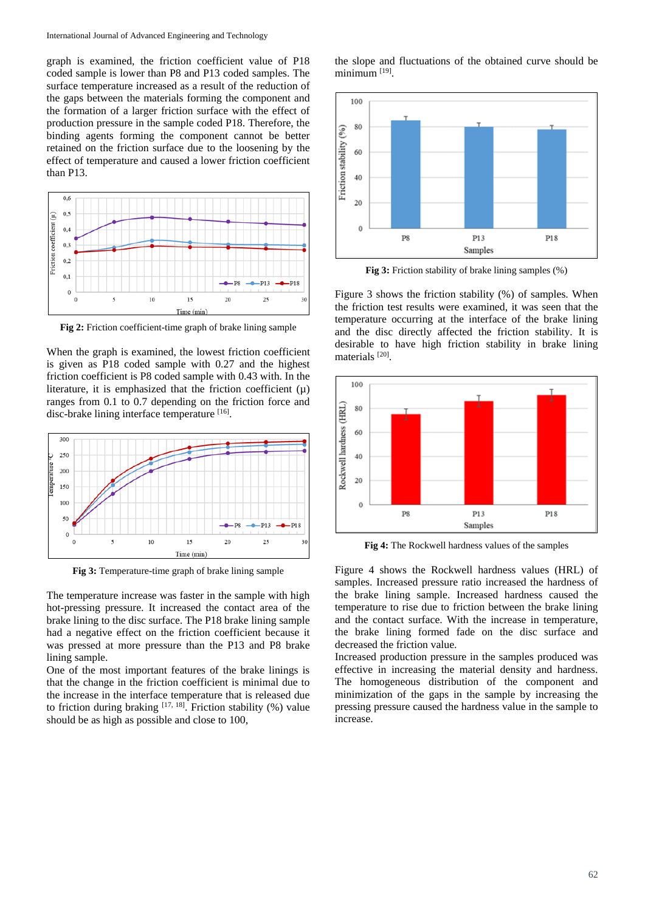graph is examined, the friction coefficient value of P18 coded sample is lower than P8 and P13 coded samples. The surface temperature increased as a result of the reduction of the gaps between the materials forming the component and the formation of a larger friction surface with the effect of production pressure in the sample coded P18. Therefore, the binding agents forming the component cannot be better retained on the friction surface due to the loosening by the effect of temperature and caused a lower friction coefficient than P13.



**Fig 2:** Friction coefficient-time graph of brake lining sample

When the graph is examined, the lowest friction coefficient is given as P18 coded sample with 0.27 and the highest friction coefficient is P8 coded sample with 0.43 with. In the literature, it is emphasized that the friction coefficient  $(\mu)$ ranges from 0.1 to 0.7 depending on the friction force and disc-brake lining interface temperature [16].



**Fig 3:** Temperature-time graph of brake lining sample

The temperature increase was faster in the sample with high hot-pressing pressure. It increased the contact area of the brake lining to the disc surface. The P18 brake lining sample had a negative effect on the friction coefficient because it was pressed at more pressure than the P13 and P8 brake lining sample.

One of the most important features of the brake linings is that the change in the friction coefficient is minimal due to the increase in the interface temperature that is released due to friction during braking  $[17, 18]$ . Friction stability (%) value should be as high as possible and close to 100,

the slope and fluctuations of the obtained curve should be minimum<sup>[19]</sup>.



**Fig 3:** Friction stability of brake lining samples (%)

Figure 3 shows the friction stability (%) of samples. When the friction test results were examined, it was seen that the temperature occurring at the interface of the brake lining and the disc directly affected the friction stability. It is desirable to have high friction stability in brake lining materials<sup>[20]</sup>.



**Fig 4:** The Rockwell hardness values of the samples

Figure 4 shows the Rockwell hardness values (HRL) of samples. Increased pressure ratio increased the hardness of the brake lining sample. Increased hardness caused the temperature to rise due to friction between the brake lining and the contact surface. With the increase in temperature, the brake lining formed fade on the disc surface and decreased the friction value.

Increased production pressure in the samples produced was effective in increasing the material density and hardness. The homogeneous distribution of the component and minimization of the gaps in the sample by increasing the pressing pressure caused the hardness value in the sample to increase.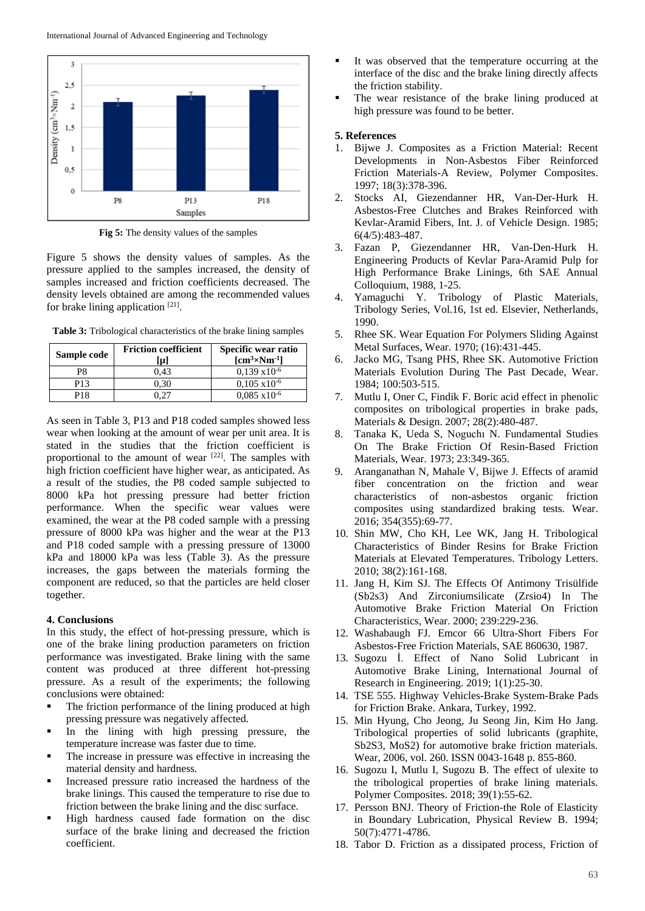

**Fig 5:** The density values of the samples

Figure 5 shows the density values of samples. As the pressure applied to the samples increased, the density of samples increased and friction coefficients decreased. The density levels obtained are among the recommended values for brake lining application  $[21]$ .

**Table 3:** Tribological characteristics of the brake lining samples

| Sample code     | <b>Friction coefficient</b><br>lµl | Specific wear ratio<br>$\mathrm{[cm^3{\times}Nm^{4}]}$ |
|-----------------|------------------------------------|--------------------------------------------------------|
| P8              | 0.43                               | $0.139 \times 10^{-6}$                                 |
| P <sub>13</sub> | 0.30                               | $0.105 \times 10^{-6}$                                 |
| P18             |                                    | $0.085 \times 10^{-6}$                                 |

As seen in Table 3, P13 and P18 coded samples showed less wear when looking at the amount of wear per unit area. It is stated in the studies that the friction coefficient is proportional to the amount of wear [22]. The samples with high friction coefficient have higher wear, as anticipated. As a result of the studies, the P8 coded sample subjected to 8000 kPa hot pressing pressure had better friction performance. When the specific wear values were examined, the wear at the P8 coded sample with a pressing pressure of 8000 kPa was higher and the wear at the P13 and P18 coded sample with a pressing pressure of 13000 kPa and 18000 kPa was less (Table 3). As the pressure increases, the gaps between the materials forming the component are reduced, so that the particles are held closer together.

#### **4. Conclusions**

In this study, the effect of hot-pressing pressure, which is one of the brake lining production parameters on friction performance was investigated. Brake lining with the same content was produced at three different hot-pressing pressure. As a result of the experiments; the following conclusions were obtained:

- The friction performance of the lining produced at high pressing pressure was negatively affected.
- In the lining with high pressing pressure, the temperature increase was faster due to time.
- The increase in pressure was effective in increasing the material density and hardness.
- Increased pressure ratio increased the hardness of the brake linings. This caused the temperature to rise due to friction between the brake lining and the disc surface.
- High hardness caused fade formation on the disc surface of the brake lining and decreased the friction coefficient.
- It was observed that the temperature occurring at the interface of the disc and the brake lining directly affects the friction stability.
- The wear resistance of the brake lining produced at high pressure was found to be better.

#### **5. References**

- 1. Bijwe J. Composites as a Friction Material: Recent Developments in Non-Asbestos Fiber Reinforced Friction Materials-A Review, Polymer Composites. 1997; 18(3):378-396.
- 2. Stocks AI, Giezendanner HR, Van-Der-Hurk H. Asbestos-Free Clutches and Brakes Reinforced with Kevlar-Aramid Fibers, Int. J. of Vehicle Design. 1985; 6(4/5):483-487.
- 3. Fazan P, Giezendanner HR, Van-Den-Hurk H. Engineering Products of Kevlar Para-Aramid Pulp for High Performance Brake Linings, 6th SAE Annual Colloquium, 1988, 1-25.
- 4. Yamaguchi Y. Tribology of Plastic Materials, Tribology Series, Vol.16, 1st ed. Elsevier, Netherlands, 1990.
- 5. Rhee SK. Wear Equation For Polymers Sliding Against Metal Surfaces, Wear. 1970; (16):431-445.
- 6. Jacko MG, Tsang PHS, Rhee SK. Automotive Friction Materials Evolution During The Past Decade, Wear. 1984; 100:503-515.
- 7. Mutlu I, Oner C, Findik F. Boric acid effect in phenolic composites on tribological properties in brake pads, Materials & Design. 2007; 28(2):480-487.
- 8. Tanaka K, Ueda S, Noguchı N. Fundamental Studies On The Brake Friction Of Resin-Based Friction Materials, Wear. 1973; 23:349-365.
- 9. Aranganathan N, Mahale V, Bijwe J. Effects of aramid fiber concentration on the friction and wear characteristics of non-asbestos organic friction composites using standardized braking tests. Wear. 2016; 354(355):69-77.
- 10. Shin MW, Cho KH, Lee WK, Jang H. Tribological Characteristics of Binder Resins for Brake Friction Materials at Elevated Temperatures. Tribology Letters. 2010; 38(2):161-168.
- 11. Jang H, Kim SJ. The Effects Of Antimony Trisülfide (Sb2s3) And Zirconiumsilicate (Zrsio4) In The Automotive Brake Friction Material On Friction Characteristics, Wear. 2000; 239:229-236.
- 12. Washabaugh FJ. Emcor 66 Ultra-Short Fibers For Asbestos-Free Friction Materials, SAE 860630, 1987.
- 13. Sugozu İ. Effect of Nano Solid Lubricant in Automotive Brake Lining, International Journal of Research in Engineering. 2019; 1(1):25-30.
- 14. TSE 555. Highway Vehicles-Brake System-Brake Pads for Friction Brake. Ankara, Turkey, 1992.
- 15. Min Hyung, Cho Jeong, Ju Seong Jin, Kim Ho Jang. Tribological properties of solid lubricants (graphite, Sb2S3, MoS2) for automotive brake friction materials. Wear, 2006, vol. 260. ISSN 0043-1648 p. 855-860.
- 16. Sugozu I, Mutlu I, Sugozu B. The effect of ulexite to the tribological properties of brake lining materials. Polymer Composites. 2018; 39(1):55-62.
- 17. Persson BNJ. Theory of Friction-the Role of Elasticity in Boundary Lubrication, Physical Review B. 1994; 50(7):4771-4786.
- 18. Tabor D. Friction as a dissipated process, Friction of